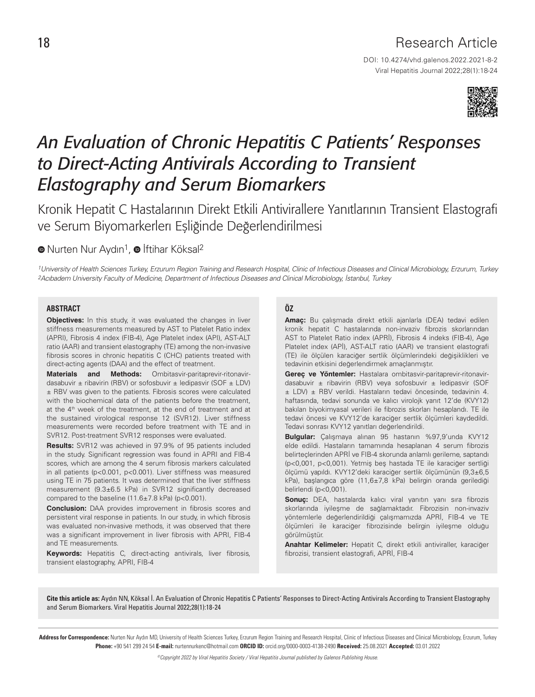## Research Article

DOI: 10.4274/vhd.galenos.2022.2021-8-2 Viral Hepatitis Journal 2022;28(1):18-24



# *An Evaluation of Chronic Hepatitis C Patients' Responses to Direct-Acting Antivirals According to Transient Elastography and Serum Biomarkers*

Kronik Hepatit C Hastalarının Direkt Etkili Antivirallere Yanıtlarının Transient Elastografi ve Serum Biyomarkerlerı Eşliğinde Değerlendirilmesi

 $\bullet$ Nurten Nur Aydın<sup>1</sup>,  $\bullet$  İftihar Köksal<sup>2</sup>

1University of Health Sciences Turkey, Erzurum Region Training and Research Hospital, Clinic of Infectious Diseases and Clinical Microbiology, Erzurum, Turkey 2Acıbadem University Faculty of Medicine, Department of Infectious Diseases and Clinical Microbiology, İstanbul, Turkey

#### **ABSTRACT**

**Objectives:** In this study, it was evaluated the changes in liver stiffness measurements measured by AST to Platelet Ratio index (APRI), Fibrosis 4 index (FIB-4), Age Platelet index (API), AST-ALT ratio (AAR) and transient elastography (TE) among the non-invasive fibrosis scores in chronic hepatitis C (CHC) patients treated with direct-acting agents (DAA) and the effect of treatment.

**Materials and Methods:** Ombitasvir-paritaprevir-ritonavirdasabuvir  $\pm$  ribavirin (RBV) or sofosbuvir  $\pm$  ledipasvir (SOF  $\pm$  LDV) ± RBV was given to the patients. Fibrosis scores were calculated with the biochemical data of the patients before the treatment, at the 4<sup>th</sup> week of the treatment, at the end of treatment and at the sustained virological response 12 (SVR12). Liver stiffness measurements were recorded before treatment with TE and in SVR12. Post-treatment SVR12 responses were evaluated.

**Results:** SVR12 was achieved in 97.9% of 95 patients included in the study. Significant regression was found in APRI and FIB-4 scores, which are among the 4 serum fibrosis markers calculated in all patients (p<0.001, p<0.001). Liver stiffness was measured using TE in 75 patients. It was determined that the liver stiffness measurement (9.3±6.5 kPa) in SVR12 significantly decreased compared to the baseline (11.6±7.8 kPa) (p<0.001).

**Conclusion:** DAA provides improvement in fibrosis scores and persistent viral response in patients. In our study, in which fibrosis was evaluated non-invasive methods, it was observed that there was a significant improvement in liver fibrosis with APRI, FIB-4 and TE measurements.

**Keywords:** Hepatitis C, direct-acting antivirals, liver fibrosis, transient elastography, APRI, FIB-4

### **ÖZ**

**Amaç:** Bu çalışmada direkt etkili ajanlarla (DEA) tedavi edilen kronik hepatit C hastalarında non-invaziv fibrozis skorlarından AST to Platelet Ratio index (APRİ), Fibrosis 4 indeks (FIB-4), Age Platelet index (APİ), AST-ALT ratio (AAR) ve transient elastografi (TE) ile ölçülen karaciğer sertlik ölçümlerindeki değişiklikleri ve tedavinin etkisini değerlendirmek amaçlanmıştır.

**Gereç ve Yöntemler:** Hastalara ombitasvir-paritaprevir-ritonavirdasabuvir ± ribavirin (RBV) veya sofosbuvir ± ledipasvir (SOF ± LDV) ± RBV verildi. Hastaların tedavi öncesinde, tedavinin 4. haftasında, tedavi sonunda ve kalıcı virolojk yanıt 12'de (KVY12) bakılan biyokimyasal verileri ile fibrozis skorları hesaplandı. TE ile tedavi öncesi ve KVY12'de karaciğer sertlik ölçümleri kaydedildi. Tedavi sonrası KVY12 yanıtları değerlendirildi.

**Bulgular:** Çalışmaya alınan 95 hastanın %97,9'unda KVY12 elde edildi. Hastaların tamamında hesaplanan 4 serum fibrozis belirteçlerinden APRİ ve FIB-4 skorunda anlamlı gerileme, saptandı (p<0,001, p<0,001). Yetmiş beş hastada TE ile karaciğer sertliği ölçümü yapıldı. KVY12'deki karaciğer sertlik ölçümünün (9,3±6,5 kPa), başlangıca göre (11,6±7,8 kPa) belirgin oranda gerilediği belirlendi (p<0,001).

**Sonuç:** DEA, hastalarda kalıcı viral yanıtın yanı sıra fibrozis skorlarında iyileşme de sağlamaktadır. Fibrozisin non-invaziv yöntemlerle değerlendirildiği çalışmamızda APRİ, FIB-4 ve TE ölçümleri ile karaciğer fibrozisinde belirgin iyileşme olduğu görülmüştür.

**Anahtar Kelimeler:** Hepatit C, direkt etkili antiviraller, karaciğer fibrozisi, transient elastografi, APRİ, FIB-4

Cite this article as: Aydın NN, Köksal İ. An Evaluation of Chronic Hepatitis C Patients' Responses to Direct-Acting Antivirals According to Transient Elastography and Serum Biomarkers. Viral Hepatitis Journal 2022;28(1):18-24

Address for Correspondence: Nurten Nur Aydın MD, University of Health Sciences Turkey, Erzurum Region Training and Research Hospital, Clinic of Infectious Diseases and Clinical Microbiology, Erzurum, Turkey Phone: +90 541 299 24 54 E-mail: nurtennurkenc@hotmail.com ORCID ID: orcid.org/0000-0003-4138-2490 Received: 25.08.2021 Accepted: 03.01.2022

©Copyright 2022 by Viral Hepatitis Society / Viral Hepatitis Journal published by Galenos Publishing House.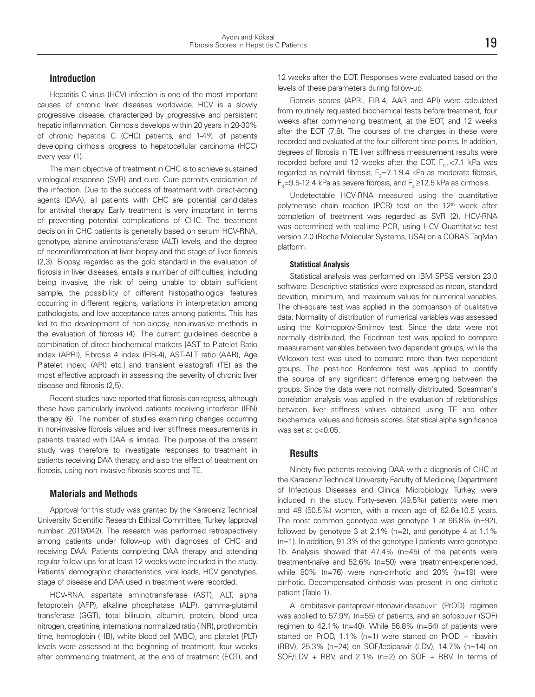#### **Introduction**

Hepatitis C virus (HCV) infection is one of the most important causes of chronic liver diseases worldwide. HCV is a slowly progressive disease, characterized by progressive and persistent hepatic inflammation. Cirrhosis develops within 20 years in 20-30% of chronic hepatitis C (CHC) patients, and 1-4% of patients developing cirrhosis progress to hepatocellular carcinoma (HCC) every year (1).

The main objective of treatment in CHC is to achieve sustained virological response (SVR) and cure. Cure permits eradication of the infection. Due to the success of treatment with direct-acting agents (DAA), all patients with CHC are potential candidates for antiviral therapy. Early treatment is very important in terms of preventing potential complications of CHC. The treatment decision in CHC patients is generally based on serum HCV-RNA, genotype, alanine aminotransferase (ALT) levels, and the degree of necroinflammation at liver biopsy and the stage of liver fibrosis (2,3). Biopsy, regarded as the gold standard in the evaluation of fibrosis in liver diseases, entails a number of difficulties, including being invasive, the risk of being unable to obtain sufficient sample, the possibility of different histopathological features occurring in different regions, variations in interpretation among pathologists, and low acceptance rates among patients. This has led to the development of non-biopsy, non-invasive methods in the evaluation of fibrosis (4). The current guidelines describe a combination of direct biochemical markers [AST to Platelet Ratio index (APRI), Fibrosis 4 index (FIB-4), AST-ALT ratio (AAR), Age Platelet index; (API) etc.] and transient elastografi (TE) as the most effective approach in assessing the severity of chronic liver disease and fibrosis (2,5).

Recent studies have reported that fibrosis can regress, although these have particularly involved patients receiving interferon (IFN) therapy (6). The number of studies examining changes occurring in non-invasive fibrosis values and liver stiffness measurements in patients treated with DAA is limited. The purpose of the present study was therefore to investigate responses to treatment in patients receiving DAA therapy, and also the effect of treatment on fibrosis, using non-invasive fibrosis scores and TE.

#### **Materials and Methods**

Approval for this study was granted by the Karadeniz Technical University Scientific Research Ethical Committee, Turkey (approval number: 2019/042). The research was performed retrospectively among patients under follow-up with diagnoses of CHC and receiving DAA. Patients completing DAA therapy and attending regular follow-ups for at least 12 weeks were included in the study. Patients' demographic characteristics, viral loads, HCV genotypes, stage of disease and DAA used in treatment were recorded.

HCV-RNA, aspartate aminotransferase (AST), ALT, alpha fetoprotein (AFP), alkaline phosphatase (ALP), gamma-glutamil transferase (GGT), total bilirubin, albumin, protein, blood urea nitrogen, creatinine, international normalized ratio (INR), prothrombin time, hemoglobin (HB), white blood cell (WBC), and platelet (PLT) levels were assessed at the beginning of treatment, four weeks after commencing treatment, at the end of treatment (EOT), and 12 weeks after the EOT. Responses were evaluated based on the levels of these parameters during follow-up.

Fibrosis scores (APRI, FIB-4, AAR and API) were calculated from routinely requested biochemical tests before treatment, four weeks after commencing treatment, at the EOT, and 12 weeks after the EOT (7,8). The courses of the changes in these were recorded and evaluated at the four different time points. In addition, degrees of fibrosis in TE liver stiffness measurement results were recorded before and 12 weeks after the EOT.  $F_{0.1}$  < 7.1 kPa was regarded as no/mild fibrosis,  $F_2 = 7.1 - 9.4$  kPa as moderate fibrosis,  $F_3$ =9.5-12.4 kPa as severe fibrosis, and  $F_4$  ≥12.5 kPa as cirrhosis.

Undetectable HCV-RNA measured using the quantitative polymerase chain reaction (PCR) test on the  $12<sup>th</sup>$  week after completion of treatment was regarded as SVR (2). HCV-RNA was determined with real-ime PCR, using HCV Quantitative test version 2.0 (Roche Molecular Systems, USA) on a COBAS TaqMan platform.

#### **Statistical Analysis**

Statistical analysis was performed on IBM SPSS version 23.0 software. Descriptive statistics were expressed as mean, standard deviation, minimum, and maximum values for numerical variables. The chi-square test was applied in the comparison of qualitative data. Normality of distribution of numerical variables was assessed using the Kolmogorov-Smirnov test. Since the data were not normally distributed, the Friedman test was applied to compare measurement variables between two dependent groups, while the Wilcoxon test was used to compare more than two dependent groups. The post-hoc Bonferroni test was applied to identify the source of any significant difference emerging between the groups. Since the data were not normally distributed, Spearman's correlation analysis was applied in the evaluation of relationships between liver stiffness values obtained using TE and other biochemical values and fibrosis scores. Statistical alpha significance was set at p<0.05.

#### **Results**

Ninety-five patients receiving DAA with a diagnosis of CHC at the Karadeniz Technical University Faculty of Medicine, Department of Infectious Diseases and Clinical Microbiology, Turkey, were included in the study. Forty-seven (49.5%) patients were men and 48 (50.5%) women, with a mean age of  $62.6 \pm 10.5$  years. The most common genotype was genotype 1 at 96.8% (n=92), followed by genotype 3 at 2.1% (n=2), and genotype 4 at 1.1% (n=1). In addition, 91.3% of the genotype I patients were genotype 1b. Analysis showed that 47.4% (n=45) of the patients were treatment-naïve and 52.6% (n=50) were treatment-experienced, while 80% (n=76) were non-cirrhotic and 20% (n=19) were cirrhotic. Decompensated cirrhosis was present in one cirrhotic patient (Table 1).

A ombitasvir-paritaprevir-ritonavir-dasabuvir (PrOD) regimen was applied to 57.9% (n=55) of patients, and an sofosbuvir (SOF) regimen to 42.1% (n=40). While 56.8% (n=54) of patients were started on PrOD, 1.1% (n=1) were started on PrOD + ribavirin (RBV), 25.3% (n=24) on SOF/ledipasvir (LDV), 14.7% (n=14) on SOF/LDV + RBV, and 2.1% (n=2) on SOF + RBV. In terms of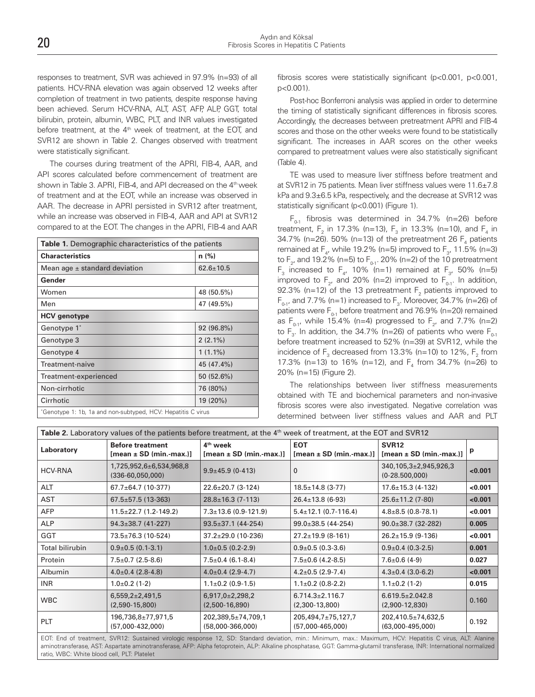responses to treatment, SVR was achieved in 97.9% (n=93) of all patients. HCV-RNA elevation was again observed 12 weeks after completion of treatment in two patients, despite response having been achieved. Serum HCV-RNA, ALT, AST, AFP, ALP, GGT, total bilirubin, protein, albumin, WBC, PLT, and INR values investigated before treatment, at the 4<sup>th</sup> week of treatment, at the EOT, and SVR12 are shown in Table 2. Changes observed with treatment were statistically significant.

The courses during treatment of the APRI, FIB-4, AAR, and API scores calculated before commencement of treatment are shown in Table 3. APRI, FIB-4, and API decreased on the 4<sup>th</sup> week of treatment and at the EOT, while an increase was observed in AAR. The decrease in APRI persisted in SVR12 after treatment, while an increase was observed in FIB-4, AAR and API at SVR12 compared to at the EOT. The changes in the APRI, FIB-4 and AAR

| <b>Table 1.</b> Demographic characteristics of the patients |                 |  |  |  |  |
|-------------------------------------------------------------|-----------------|--|--|--|--|
| <b>Characteristics</b>                                      | $n$ (%)         |  |  |  |  |
| Mean age $\pm$ standard deviation                           | $62.6 \pm 10.5$ |  |  |  |  |
| Gender                                                      |                 |  |  |  |  |
| Women                                                       | 48 (50.5%)      |  |  |  |  |
| Men                                                         | 47 (49.5%)      |  |  |  |  |
| <b>HCV</b> genotype                                         |                 |  |  |  |  |
| Genotype 1*                                                 | 92 (96.8%)      |  |  |  |  |
| Genotype 3                                                  | $2(2.1\%)$      |  |  |  |  |
| Genotype 4                                                  | $1(1.1\%)$      |  |  |  |  |
| Treatment-naive                                             | 45 (47.4%)      |  |  |  |  |
| Treatment-experienced                                       | 50 (52.6%)      |  |  |  |  |
| Non-cirrhotic                                               | 76 (80%)        |  |  |  |  |
| Cirrhotic                                                   | 19 (20%)        |  |  |  |  |
| Genotype 1: 1b, 1a and non-subtyped, HCV: Hepatitis C virus |                 |  |  |  |  |

fibrosis scores were statistically significant (p<0.001, p<0.001, p<0.001).

Post-hoc Bonferroni analysis was applied in order to determine the timing of statistically significant differences in fibrosis scores. Accordingly, the decreases between pretreatment APRI and FIB-4 scores and those on the other weeks were found to be statistically significant. The increases in AAR scores on the other weeks compared to pretreatment values were also statistically significant (Table 4).

TE was used to measure liver stiffness before treatment and at SVR12 in 75 patients. Mean liver stiffness values were 11.6±7.8 kPa and 9.3±6.5 kPa, respectively, and the decrease at SVR12 was statistically significant (p<0.001) (Figure 1).

 $F_{0,1}$  fibrosis was determined in 34.7% (n=26) before treatment,  $F_2$  in 17.3% (n=13),  $F_3$  in 13.3% (n=10), and  $F_4$  in 34.7% (n=26). 50% (n=13) of the pretreatment 26  $F_4$  patients remained at  $F_4$ , while 19.2% (n=5) improved to  $F_3$ , 11.5% (n=3) to F<sub>2</sub>, and 19.2% (n=5) to F<sub>0-1</sub>. 20% (n=2) of the 10 pretreatment  $F_3$  increased to  $F_4$ , 10% (n=1) remained at  $F_3$ , 50% (n=5) improved to  $F_2$ , and 20% (n=2) improved to  $F_{0-1}$ . In addition, 92.3% (n=12) of the 13 pretreatment  $F_2$  patients improved to  $F_{0.1}$ , and 7.7% (n=1) increased to  $F_3$ . Moreover, 34.7% (n=26) of patients were  $F_{0-1}$  before treatment and 76.9% (n=20) remained as  $F_{0.1}$ , while 15.4% (n=4) progressed to  $F_{2}$ , and 7.7% (n=2) to  $F_3$ . In addition, the 34.7% (n=26) of patients who were  $F_{0.1}$ before treatment increased to 52% (n=39) at SVR12, while the incidence of  $F_3$  decreased from 13.3% (n=10) to 12%,  $F_2$  from 17.3% (n=13) to 16% (n=12), and  $F_4$  from 34.7% (n=26) to 20% (n=15) (Figure 2).

The relationships between liver stiffness measurements obtained with TE and biochemical parameters and non-invasive fibrosis scores were also investigated. Negative correlation was determined between liver stiffness values and AAR and PLT

| Table 2. Laboratory values of the patients before treatment, at the 4 <sup>th</sup> week of treatment, at the EOT and SVR12                                                                                                                                                                      |                                                             |                                                    |                                                |                                                    |         |
|--------------------------------------------------------------------------------------------------------------------------------------------------------------------------------------------------------------------------------------------------------------------------------------------------|-------------------------------------------------------------|----------------------------------------------------|------------------------------------------------|----------------------------------------------------|---------|
| Laboratory                                                                                                                                                                                                                                                                                       | <b>Before treatment</b><br>$[mean \pm SD (min \cdot max.)]$ | 4 <sup>th</sup> week<br>$[mean \pm SD (min.max.)]$ | <b>EOT</b><br>$[mean \pm SD (min \cdot max.)]$ | <b>SVR12</b><br>$[mean \pm SD (min.\text{-}max.)]$ | p       |
| <b>HCV-RNA</b>                                                                                                                                                                                                                                                                                   | 1,725,952,6±6,534,968,8<br>$(336-60,050,000)$               | $9.9 \pm 45.9$ (0-413)                             | $\mathbf{0}$                                   | 340,105,3±2,945,926,3<br>$(0-28.500,000)$          | <0.001  |
| ALT                                                                                                                                                                                                                                                                                              | $67.7 \pm 64.7$ (10-377)                                    | $22.6 \pm 20.7$ (3-124)                            | $18.5 \pm 14.8$ (3-77)                         | $17.6 \pm 15.3$ (4-132)                            | <0.001  |
| AST                                                                                                                                                                                                                                                                                              | $67.5 \pm 57.5$ (13-363)                                    | $28.8 \pm 16.3$ (7-113)                            | $26.4 \pm 13.8$ (6-93)                         | $25.6 \pm 11.2$ (7-80)                             | < 0.001 |
| <b>AFP</b>                                                                                                                                                                                                                                                                                       | $11.5 \pm 22.7$ (1.2-149.2)                                 | $7.3 \pm 13.6$ (0.9-121.9)                         | $5.4 \pm 12.1$ (0.7-116.4)                     | $4.8 \pm 8.5$ (0.8-78.1)                           | < 0.001 |
| <b>ALP</b>                                                                                                                                                                                                                                                                                       | $94.3 \pm 38.7$ (41-227)                                    | $93.5 \pm 37.1$ (44-254)                           | $99.0 \pm 38.5$ (44-254)                       | $90.0 \pm 38.7$ (32-282)                           | 0.005   |
| GGT                                                                                                                                                                                                                                                                                              | 73.5±76.3 (10-524)                                          | $37.2 \pm 29.0$ (10-236)                           | $27.2 \pm 19.9$ (8-161)                        | $26.2 \pm 15.9$ (9-136)                            | <0.001  |
| <b>Total bilirubin</b>                                                                                                                                                                                                                                                                           | $0.9\pm0.5$ (0.1-3.1)                                       | $1.0\pm0.5$ (0.2-2.9)                              | $0.9\pm0.5$ (0.3-3.6)                          | $0.9 \pm 0.4$ (0.3-2.5)                            | 0.001   |
| Protein                                                                                                                                                                                                                                                                                          | $7.5 \pm 0.7$ (2.5-8.6)                                     | $7.5 \pm 0.4$ (6.1-8.4)                            | $7.5 \pm 0.6$ (4.2-8.5)                        | $7.6 \pm 0.6$ (4-9)                                | 0.027   |
| Albumin                                                                                                                                                                                                                                                                                          | $4.0\pm0.4$ (2.8-4.8)                                       | $4.0\pm0.4$ (2.9-4.7)                              | $4.2 \pm 0.5$ (2.9-7.4)                        | $4.3 \pm 0.4$ (3.0-6.2)                            | < 0.001 |
| INR                                                                                                                                                                                                                                                                                              | $1.0\pm0.2$ (1-2)                                           | $1.1\pm0.2$ (0.9-1.5)                              | $1.1\pm0.2$ (0.8-2.2)                          | $1.1 \pm 0.2$ (1-2)                                | 0.015   |
| <b>WBC</b>                                                                                                                                                                                                                                                                                       | $6,559,2+2,491,5$<br>$(2,590-15,800)$                       | $6,917,0+2,298,2$<br>$(2,500-16,890)$              | $6.714.3 \pm 2.116.7$<br>$(2,300-13,800)$      | $6.619.5 \pm 2.042.8$<br>$(2,900-12,830)$          | 0.160   |
| <b>PLT</b>                                                                                                                                                                                                                                                                                       | 196,736,8±77,971,5<br>$(57,000-432,000)$                    | 202,389,5±74,709,1<br>$(58,000-366,000)$           | 205,494,7±75,127,7<br>$(57,000-465,000)$       | 202,410.5±74,632,5<br>$(63,000-495,000)$           | 0.192   |
| $\alpha$<br>$\blacksquare$ $\cap$ $\blacksquare$ $\blacksquare$ $\blacksquare$ $\blacksquare$ $\blacksquare$ $\blacksquare$ $\blacksquare$ $\blacksquare$ $\blacksquare$ $\blacksquare$ $\blacksquare$ $\blacksquare$ $\blacksquare$ $\blacksquare$ $\blacksquare$ $\blacksquare$ $\blacksquare$ |                                                             |                                                    |                                                |                                                    |         |

EOT: End of treatment, SVR12: Sustained virologic response 12, SD: Standard deviation, min.: Minimum, max.: Maximum, HCV: Hepatitis C virus, ALT: Alanine aminotransferase, AST: Aspartate aminotransferase, AFP: Alpha fetoprotein, ALP: Alkaline phosphatase, GGT: Gamma-glutamil transferase, INR: International normalized ratio, WBC: White blood cell, PLT: Platelet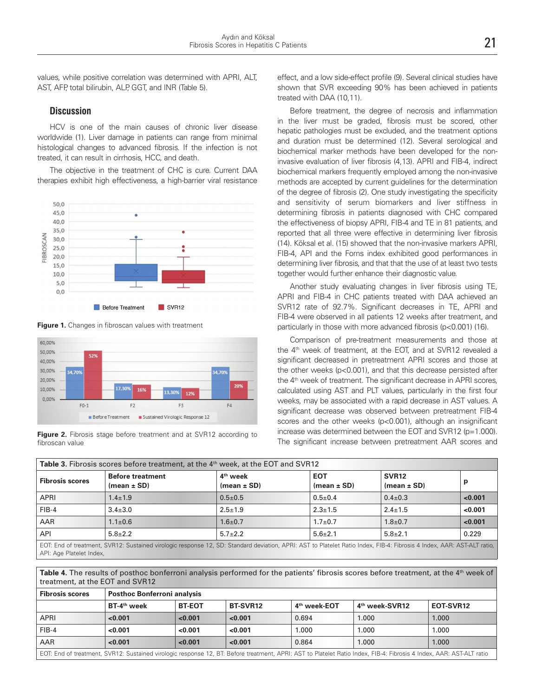values, while positive correlation was determined with APRI, ALT, AST, AFP, total bilirubin, ALP, GGT, and INR (Table 5).

#### **Discussion**

HCV is one of the main causes of chronic liver disease worldwide (1). Liver damage in patients can range from minimal histological changes to advanced fibrosis. If the infection is not treated, it can result in cirrhosis, HCC, and death.

The objective in the treatment of CHC is cure. Current DAA therapies exhibit high effectiveness, a high-barrier viral resistance



**Figure 1.** Changes in fibroscan values with treatment



**Figure 2.** Fibrosis stage before treatment and at SVR12 according to fibroscan value

effect, and a low side-effect profile (9). Several clinical studies have shown that SVR exceeding 90% has been achieved in patients treated with DAA (10,11).

Before treatment, the degree of necrosis and inflammation in the liver must be graded, fibrosis must be scored, other hepatic pathologies must be excluded, and the treatment options and duration must be determined (12). Several serological and biochemical marker methods have been developed for the noninvasive evaluation of liver fibrosis (4,13). APRI and FIB-4, indirect biochemical markers frequently employed among the non-invasive methods are accepted by current guidelines for the determination of the degree of fibrosis (2). One study investigating the specificity and sensitivity of serum biomarkers and liver stiffness in determining fibrosis in patients diagnosed with CHC compared the effectiveness of biopsy APRI, FIB-4 and TE in 81 patients, and reported that all three were effective in determining liver fibrosis (14). Köksal et al. (15) showed that the non-invasive markers APRI, FIB-4, API and the Forns index exhibited good performances in determining liver fibrosis, and that that the use of at least two tests together would further enhance their diagnostic value.

Another study evaluating changes in liver fibrosis using TE, APRI and FIB-4 in CHC patients treated with DAA achieved an SVR12 rate of 92.7%. Significant decreases in TE, APRI and FIB-4 were observed in all patients 12 weeks after treatment, and particularly in those with more advanced fibrosis (p<0.001) (16).

Comparison of pre-treatment measurements and those at the 4<sup>th</sup> week of treatment, at the EOT, and at SVR12 revealed a significant decreased in pretreatment APRI scores and those at the other weeks (p<0.001), and that this decrease persisted after the 4th week of treatment. The significant decrease in APRI scores, calculated using AST and PLT values, particularly in the first four weeks, may be associated with a rapid decrease in AST values. A significant decrease was observed between pretreatment FIB-4 scores and the other weeks (p<0.001), although an insignificant increase was determined between the EOT and SVR12 (p=1.000). The significant increase between pretreatment AAR scores and

| <b>Table 3.</b> Fibrosis scores before treatment, at the 4 <sup>th</sup> week, at the EOT and SVR12                                                                    |                                            |                                         |                               |                                      |         |
|------------------------------------------------------------------------------------------------------------------------------------------------------------------------|--------------------------------------------|-----------------------------------------|-------------------------------|--------------------------------------|---------|
| <b>Fibrosis scores</b>                                                                                                                                                 | <b>Before treatment</b><br>(mean $\pm$ SD) | 4 <sup>th</sup> week<br>$(mean \pm SD)$ | <b>EOT</b><br>$(mean \pm SD)$ | SVR <sub>12</sub><br>$(mean \pm SD)$ | р       |
| APRI                                                                                                                                                                   | $1.4 \pm 1.9$                              | $0.5 + 0.5$                             | $0.5+0.4$                     | $0.4 \pm 0.3$                        | < 0.001 |
| $FIB-4$                                                                                                                                                                | $3.4 \pm 3.0$                              | $2.5 \pm 1.9$                           | $2.3 \pm 1.5$                 | $2.4 \pm 1.5$                        | <0.001  |
| AAR                                                                                                                                                                    | $1.1 \pm 0.6$                              | $1.6 + 0.7$                             | $1.7 + 0.7$                   | $1.8 + 0.7$                          | < 0.001 |
| API                                                                                                                                                                    | $5.8 \pm 2.2$                              | $5.7 + 2.2$                             | $5.6 \pm 2.1$                 | $5.8 \pm 2.1$                        | 0.229   |
| EOT: End of treatment, SVR12: Sustained virologic response 12, SD: Standard deviation, APRI: AST to Platelet Ratio Index, FIB-4: Fibrosis 4 Index, AAR: AST-ALT ratio, |                                            |                                         |                               |                                      |         |

API: Age Platelet Index,

Table 4. The results of posthoc bonferroni analysis performed for the patients' fibrosis scores before treatment, at the 4<sup>th</sup> week of treatment, at the EOT and SVR12

| <b>Fibrosis scores</b>                                                                                                                                              | <b>Posthoc Bonferroni analysis</b> |               |                 |                          |                            |           |
|---------------------------------------------------------------------------------------------------------------------------------------------------------------------|------------------------------------|---------------|-----------------|--------------------------|----------------------------|-----------|
|                                                                                                                                                                     | BT-4 <sup>th</sup> week            | <b>BT-EOT</b> | <b>BT-SVR12</b> | 4 <sup>th</sup> week-EOT | 4 <sup>th</sup> week-SVR12 | EOT-SVR12 |
| APRI                                                                                                                                                                | 0.001                              | 0.001         | 0.001           | 0.694                    | 1.000                      | 1.000     |
| $FIB-4$                                                                                                                                                             | 0.001                              | 0.001         | 0.001           | 1.000                    | 1.000                      | 1.000     |
| AAR                                                                                                                                                                 | 0.001                              | < 0.001       | 0.001           | 0.864                    | 1.000                      | 1.000     |
| EOT: End of treatment, SVR12: Sustained virologic response 12, BT: Before treatment, APRI: AST to Platelet Ratio Index, FIB-4: Fibrosis 4 Index, AAR: AST-ALT ratio |                                    |               |                 |                          |                            |           |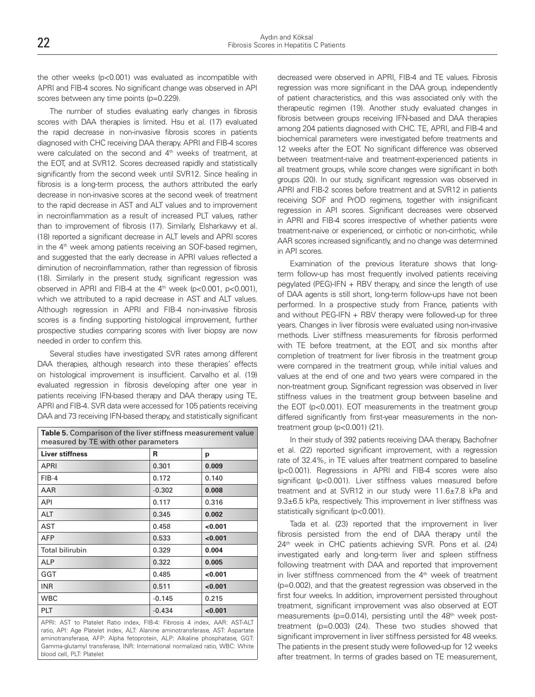the other weeks (p<0.001) was evaluated as incompatible with APRI and FIB-4 scores. No significant change was observed in API scores between any time points (p=0.229).

The number of studies evaluating early changes in fibrosis scores with DAA therapies is limited. Hsu et al. (17) evaluated the rapid decrease in non-invasive fibrosis scores in patients diagnosed with CHC receiving DAA therapy. APRI and FIB-4 scores were calculated on the second and 4<sup>th</sup> weeks of treatment, at the EOT, and at SVR12. Scores decreased rapidly and statistically significantly from the second week until SVR12. Since healing in fibrosis is a long-term process, the authors attributed the early decrease in non-invasive scores at the second week of treatment to the rapid decrease in AST and ALT values and to improvement in necroinflammation as a result of increased PLT values, rather than to improvement of fibrosis (17). Similarly, Elsharkawy et al. (18) reported a significant decrease in ALT levels and APRI scores in the  $4<sup>th</sup>$  week among patients receiving an SOF-based regimen, and suggested that the early decrease in APRI values reflected a diminution of necroinflammation, rather than regression of fibrosis (18). Similarly in the present study, significant regression was observed in APRI and FIB-4 at the  $4<sup>th</sup>$  week (p<0.001, p<0.001), which we attributed to a rapid decrease in AST and ALT values. Although regression in APRI and FIB-4 non-invasive fibrosis scores is a finding supporting histological improvement, further prospective studies comparing scores with liver biopsy are now needed in order to confirm this.

Several studies have investigated SVR rates among different DAA therapies, although research into these therapies' effects on histological improvement is insufficient. Carvalho et al. (19) evaluated regression in fibrosis developing after one year in patients receiving IFN-based therapy and DAA therapy using TE, APRI and FIB-4. SVR data were accessed for 105 patients receiving DAA and 73 receiving IFN-based therapy, and statistically significant

| Table 5. Comparison of the liver stiffness measurement value<br>measured by TE with other parameters |         |  |  |
|------------------------------------------------------------------------------------------------------|---------|--|--|
| R                                                                                                    | р       |  |  |
| 0.301                                                                                                | 0.009   |  |  |
| 0.172                                                                                                | 0.140   |  |  |
| $-0.302$                                                                                             | 0.008   |  |  |
| 0.117                                                                                                | 0.316   |  |  |
| 0.345                                                                                                | 0.002   |  |  |
| 0.458                                                                                                | <0.001  |  |  |
| 0.533                                                                                                | < 0.001 |  |  |
| 0.329                                                                                                | 0.004   |  |  |
| 0.322                                                                                                | 0.005   |  |  |
| 0.485                                                                                                | <0.001  |  |  |
| 0.511                                                                                                | < 0.001 |  |  |
| $-0.145$                                                                                             | 0.215   |  |  |
| $-0.434$                                                                                             | < 0.001 |  |  |
|                                                                                                      |         |  |  |

APRI: AST to Platelet Ratio index, FIB-4: Fibrosis 4 index, AAR: AST-ALT ratio, API: Age Platelet index, ALT: Alanine aminotransferase, AST: Aspartate aminotransferase, AFP: Alpha fetoprotein, ALP: Alkaline phosphatase, GGT: Gamma-glutamyl transferase, INR: International normalized ratio, WBC: White blood cell, PLT: Platelet

decreased were observed in APRI, FIB-4 and TE values. Fibrosis regression was more significant in the DAA group, independently of patient characteristics, and this was associated only with the therapeutic regimen (19). Another study evaluated changes in fibrosis between groups receiving IFN-based and DAA therapies among 204 patients diagnosed with CHC. TE, APRI, and FIB-4 and biochemical parameters were investigated before treatments and 12 weeks after the EOT. No significant difference was observed between treatment-naive and treatment-experienced patients in all treatment groups, while score changes were significant in both groups (20). In our study, significant regression was observed in APRI and FIB-2 scores before treatment and at SVR12 in patients receiving SOF and PrOD regimens, together with insignificant regression in API scores. Significant decreases were observed in APRI and FIB-4 scores irrespective of whether patients were treatment-naive or experienced, or cirrhotic or non-cirrhotic, while AAR scores increased significantly, and no change was determined in API scores.

Examination of the previous literature shows that longterm follow-up has most frequently involved patients receiving pegylated (PEG)-IFN + RBV therapy, and since the length of use of DAA agents is still short, long-term follow-ups have not been performed. In a prospective study from France, patients with and without PEG-IFN  $+$  RBV therapy were followed-up for three years. Changes in liver fibrosis were evaluated using non-invasive methods. Liver stiffness measurements for fibrosis performed with TE before treatment, at the EOT, and six months after completion of treatment for liver fibrosis in the treatment group were compared in the treatment group, while initial values and values at the end of one and two years were compared in the non-treatment group. Significant regression was observed in liver stiffness values in the treatment group between baseline and the EOT (p<0.001). EOT measurements in the treatment group differed significantly from first-year measurements in the nontreatment group (p<0.001) (21).

In their study of 392 patients receiving DAA therapy, Bachofner et al. (22) reported significant improvement, with a regression rate of 32.4%, in TE values after treatment compared to baseline (p<0.001). Regressions in APRI and FIB-4 scores were also significant (p<0.001). Liver stiffness values measured before treatment and at SVR12 in our study were 11.6±7.8 kPa and 9.3±6.5 kPa, respectively. This improvement in liver stiffness was statistically significant (p<0.001).

Tada et al. (23) reported that the improvement in liver fibrosis persisted from the end of DAA therapy until the 24<sup>th</sup> week in CHC patients achieving SVR. Pons et al. (24) investigated early and long-term liver and spleen stiffness following treatment with DAA and reported that improvement in liver stiffness commenced from the  $4<sup>th</sup>$  week of treatment (p=0.002), and that the greatest regression was observed in the first four weeks. In addition, improvement persisted throughout treatment, significant improvement was also observed at EOT measurements (p=0.014), persisting until the 48<sup>th</sup> week posttreatment (p=0.003) (24). These two studies showed that significant improvement in liver stiffness persisted for 48 weeks. The patients in the present study were followed-up for 12 weeks after treatment. In terms of grades based on TE measurement,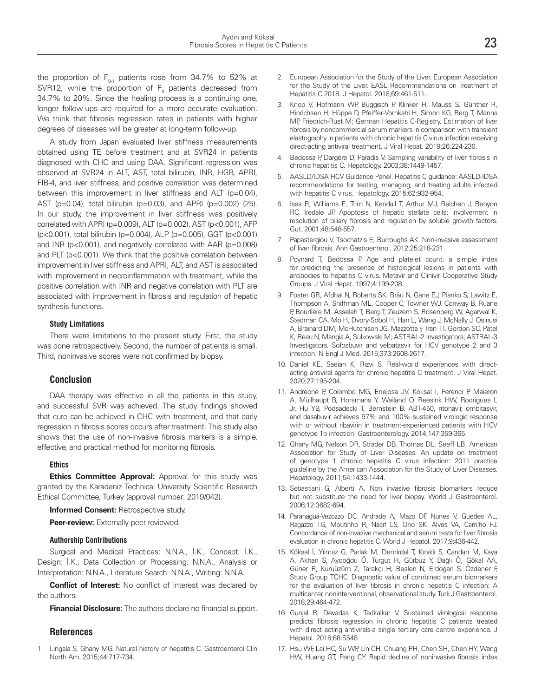the proportion of  $F_{0-1}$  patients rose from 34.7% to 52% at SVR12, while the proportion of  $F_4$  patients decreased from 34.7% to 20%. Since the healing process is a continuing one, longer follow-ups are required for a more accurate evaluation. We think that fibrosis regression rates in patients with higher degrees of diseases will be greater at long-term follow-up.

A study from Japan evaluated liver stiffness measurements obtained using TE before treatment and at SVR24 in patients diagnosed with CHC and using DAA. Significant regression was observed at SVR24 in ALT, AST, total bilirubin, INR, HGB, APRI, FIB-4, and liver stiffness, and positive correlation was determined between this improvement in liver stiffness and ALT (p=0.04), AST (p=0.04), total bilirubin (p=0.03), and APRI (p=0.002) (25). In our study, the improvement in liver stiffness was positively correlated with APRI (p=0.009), ALT (p=0.002), AST (p<0.001), AFP (p<0.001), total bilirubin (p=0.004), ALP (p=0.005), GGT (p<0.001) and INR (p<0.001), and negatively correlated with AAR (p=0.008) and PLT (p<0.001). We think that the positive correlation between improvement in liver stiffness and APRI, ALT, and AST is associated with improvement in necroinflammation with treatment, while the positive correlation with INR and negative correlation with PLT are associated with improvement in fibrosis and regulation of hepatic synthesis functions.

#### **Study Limitations**

There were limitations to the present study. First, the study was done retrospectively. Second, the number of patients is small. Third, noninvasive scores were not confirmed by biopsy.

#### **Conclusion**

DAA therapy was effective in all the patients in this study, and successful SVR was achieved. The study findings showed that cure can be achieved in CHC with treatment, and that early regression in fibrosis scores occurs after treatment. This study also shows that the use of non-invasive fibrosis markers is a simple, effective, and practical method for monitoring fibrosis.

#### **Ethics**

**Ethics Committee Approval:** Approval for this study was granted by the Karadeniz Technical University Scientific Research Ethical Committee, Turkey (approval number: 2019/042).

**Informed Consent:** Retrospective study.

**Peer-review:** Externally peer-reviewed.

#### **Authorship Contributions**

Surgical and Medical Practices: N.N.A., İ.K., Concept: İ.K., Design: İ.K., Data Collection or Processing: N.N.A., Analysis or Interpretation: N.N.A., Literature Search: N.N.A., Writing: N.N.A.

**Conflict of Interest:** No conflict of interest was declared by the authors.

**Financial Disclosure:** The authors declare no financial support.

#### **References**

1. Lingala S, Ghany MG. Natural history of hepatitis C. Gastroenterol Clin North Am. 2015;44:717-734.

- 2. European Association for the Study of the Liver. European Association for the Study of the Liver. EASL Recommendations on Treatment of Hepatitis C 2018. J Hepatol. 2018;69:461-511.
- 3. Knop V, Hofmann WP, Buggisch P, Klinker H, Mauss S, Günther R, Hinrichsen H, Hüppe D, Pfeiffer-Vornkahl H, Simon KG, Berg T, Manns MP, Friedrich-Rust M; German Hepatitis C-Registry. Estimation of liver fibrosis by noncommercial serum markers in comparison with transient elastography in patients with chronic hepatitis C virus infection receiving direct-acting antiviral treatment. J Viral Hepat. 2019;26:224-230.
- Bedossa P, Dargère D, Paradis V. Sampling variability of liver fibrosis in chronic hepatitis C. Hepatology. 2003;38:1449-1457.
- 5. AASLD/IDSA HCV Guidance Panel. Hepatitis C guidance: AASLD-IDSA recommendations for testing, managing, and treating adults infected with hepatitis C virus. Hepatology. 2015;62:932-954.
- 6. Issa R, Williams E, Trim N, Kendall T, Arthur MJ, Reichen J, Benyon RC, Iredale JP. Apoptosis of hepatic stellate cells: involvement in resolution of biliary fibrosis and regulation by soluble growth factors. Gut. 2001;48:548-557.
- 7. Papastergiou V, Tsochatzis E, Burroughs AK. Non-invasive assessment of liver fibrosis. Ann Gastroenterol. 2012;25:218-231.
- Poynard T, Bedossa P. Age and platelet count: a simple index for predicting the presence of histological lesions in patients with antibodies to hepatitis C virus. Metavir and Clinivir Cooperative Study Groups. J Viral Hepat. 1997;4:199-208.
- 9. Foster GR, Afdhal N, Roberts SK, Bräu N, Gane EJ, Pianko S, Lawitz E, Thompson A, Shiffman ML, Cooper C, Towner WJ, Conway B, Ruane P, Bourlière M, Asselah T, Berg T, Zeuzem S, Rosenberg W, Agarwal K, Stedman CA, Mo H, Dvory-Sobol H, Han L, Wang J, McNally J, Osinusi A, Brainard DM, McHutchison JG, Mazzotta F, Tran TT, Gordon SC, Patel K, Reau N, Mangia A, Sulkowski M; ASTRAL-2 Investigators; ASTRAL-3 Investigators. Sofosbuvir and velpatasvir for HCV genotype 2 and 3 infection. N Engl J Med. 2015;373:2608-2617.
- 10. Daniel KE, Saeian K, Rizvi S. Real-world experiences with directacting antiviral agents for chronic hepatitis C treatment. J Viral Hepat. 2020;27:195-204.
- 11. Andreone P, Colombo MG, Enejosa JV, Koksal I, Ferenci P, Maieron A, Müllhaupt B, Horsmans Y, Weiland O, Reesink HW, Rodrigues L Jr, Hu YB, Podsadecki T, Bernstein B. ABT-450, ritonavir, ombitasvir, and dasabuvir achieves 97% and 100% sustained virologic response with or without ribavirin in treatment-experienced patients with HCV genotype 1b infection. Gastroenterology. 2014;147:359-365.
- 12. Ghany MG, Nelson DR, Strader DB, Thomas DL, Seeff LB; American Association for Study of Liver Diseases. An update on treatment of genotype 1 chronic hepatitis C virus infection: 2011 practice guideline by the American Association for the Study of Liver Diseases. Hepatology. 2011;54:1433-1444.
- 13. Sebastiani G, Alberti A. Non invasive fibrosis biomarkers reduce but not substitute the need for liver biopsy. World J Gastroenterol. 2006;12:3682-694.
- 14. Paranaguá-Vezozzo DC, Andrade A, Mazo DF, Nunes V, Guedes AL, Ragazzo TG, Moutinho R, Nacif LS, Ono SK, Alves VA, Carrilho FJ. Concordance of non-invasive mechanical and serum tests for liver fibrosis evaluation in chronic hepatitis C. World J Hepatol. 2017;9:436-442.
- 15. Köksal İ, Yılmaz G, Parlak M, Demirdal T, Kınıklı S, Candan M, Kaya A, Akhan S, Aydoğdu Ö, Turgut H, Gürbüz Y, Dağlı Ö, Gökal AA, Güner R, Kuruüzüm Z, Tarakçı H, Beslen N, Erdoğan S, Özdener F, Study Group TCHC. Diagnostic value of combined serum biomarkers for the evaluation of liver fibrosis in chronic hepatitis C infection: A multicenter, noninterventional, observational study. Turk J Gastroenterol. 2018;29:464-472.
- 16. Gunjal R, Devadas K, Tadkalkar V. Sustained virological response predicts fibrosis regression in chronic hepatitis C patients treated with direct acting antivirals-a single tertiary care centre experience. J Hepatol. 2018;68:S548.
- 17. Hsu WF, Lai HC, Su WP, Lin CH, Chuang PH, Chen SH, Chen HY, Wang HW, Huang GT, Peng CY. Rapid decline of noninvasive fibrosis index